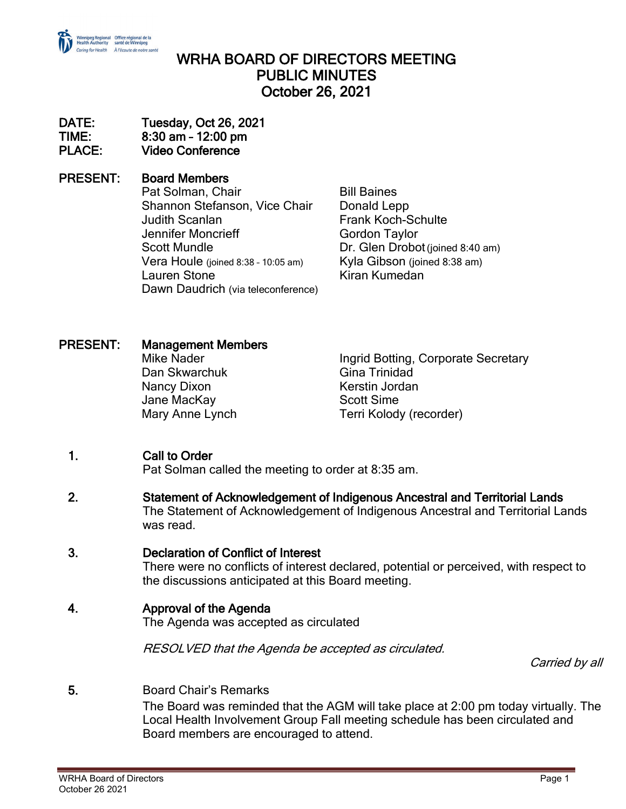

# WRHA BOARD OF DIRECTORS MEETING PUBLIC MINUTES October 26, 2021

#### DATE: Tuesday, Oct 26, 2021 TIME: 8:30 am – 12:00 pm PLACE: Video Conference

### PRESENT: Board Members

Pat Solman, Chair **Bill Baines** Shannon Stefanson, Vice Chair Donald Lepp Judith Scanlan Frank Koch-Schulte Jennifer Moncrieff Gordon Taylor Scott Mundle Dr. Glen Drobot (joined 8:40 am)<br>10:05 am) Vera Houle (joined 8:38 - 10:05 am) Kyla Gibson (joined 8:38 am) Vera Houle (joined 8:38 - 10:05 am) Lauren Stone Kiran Kumedan Dawn Daudrich (via teleconference)

### PRESENT: Management Members

Dan Skwarchuk Nancy Dixon **Kerstin Jordan** Jane MacKay **Scott Sime** 

Mike Nader **Ingrid Botting, Corporate Secretary**<br>
Dan Skwarchuk **Ingrid Botting, Corporate Secretary** Mary Anne Lynch Terri Kolody (recorder)

# 1. Call to Order

Pat Solman called the meeting to order at 8:35 am.

2. Statement of Acknowledgement of Indigenous Ancestral and Territorial Lands The Statement of Acknowledgement of Indigenous Ancestral and Territorial Lands was read.

### 3. Declaration of Conflict of Interest

There were no conflicts of interest declared, potential or perceived, with respect to the discussions anticipated at this Board meeting.

### 4. Approval of the Agenda

The Agenda was accepted as circulated

RESOLVED that the Agenda be accepted as circulated.

Carried by all

5. Board Chair's Remarks The Board was reminded that the AGM will take place at 2:00 pm today virtually. The Local Health Involvement Group Fall meeting schedule has been circulated and Board members are encouraged to attend.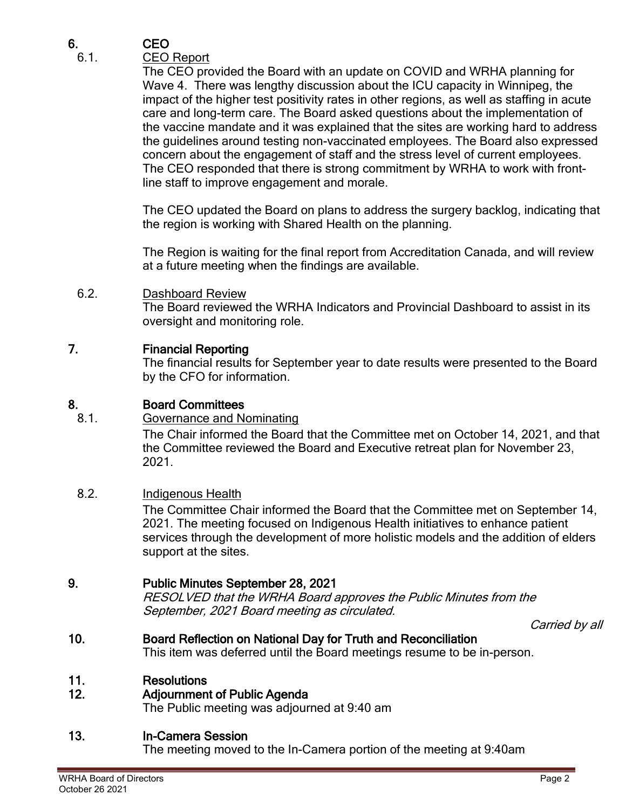# 6. CEO

# 6.1. CEO Report

The CEO provided the Board with an update on COVID and WRHA planning for Wave 4. There was lengthy discussion about the ICU capacity in Winnipeg, the impact of the higher test positivity rates in other regions, as well as staffing in acute care and long-term care. The Board asked questions about the implementation of the vaccine mandate and it was explained that the sites are working hard to address the guidelines around testing non-vaccinated employees. The Board also expressed concern about the engagement of staff and the stress level of current employees. The CEO responded that there is strong commitment by WRHA to work with frontline staff to improve engagement and morale.

The CEO updated the Board on plans to address the surgery backlog, indicating that the region is working with Shared Health on the planning.

The Region is waiting for the final report from Accreditation Canada, and will review at a future meeting when the findings are available.

#### 6.2. Dashboard Review The Board reviewed the WRHA Indicators and Provincial Dashboard to assist in its oversight and monitoring role.

### 7. Financial Reporting

The financial results for September year to date results were presented to the Board by the CFO for information.

### 8. Board Committees

8.1. Governance and Nominating The Chair informed the Board that the Committee met on October 14, 2021, and that the Committee reviewed the Board and Executive retreat plan for November 23,

2021.

# 8.2. Indigenous Health

The Committee Chair informed the Board that the Committee met on September 14, 2021. The meeting focused on Indigenous Health initiatives to enhance patient services through the development of more holistic models and the addition of elders support at the sites.

# 9. Public Minutes September 28, 2021

RESOLVED that the WRHA Board approves the Public Minutes from the September, 2021 Board meeting as circulated.

Carried by all

# 10. Board Reflection on National Day for Truth and Reconciliation

This item was deferred until the Board meetings resume to be in-person.

### 11. Resolutions

### 12. Adjournment of Public Agenda

The Public meeting was adjourned at 9:40 am

# 13. In-Camera Session

The meeting moved to the In-Camera portion of the meeting at 9:40am